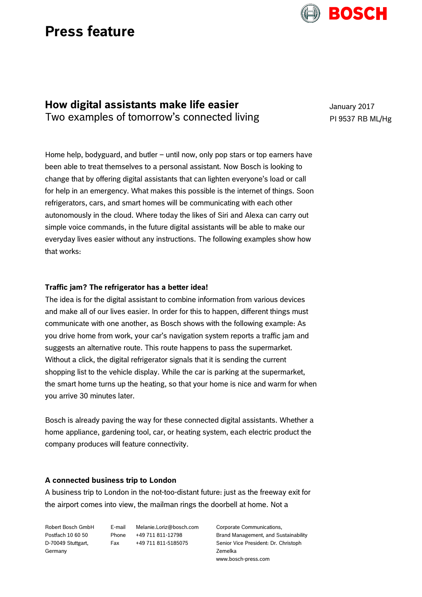# **Press feature**

## **How digital assistants make life easier** Two examples of tomorrow's connected living

Home help, bodyguard, and butler – until now, only pop stars or top earners have been able to treat themselves to a personal assistant. Now Bosch is looking to change that by offering digital assistants that can lighten everyone's load or call for help in an emergency. What makes this possible is the internet of things. Soon refrigerators, cars, and smart homes will be communicating with each other autonomously in the cloud. Where today the likes of Siri and Alexa can carry out simple voice commands, in the future digital assistants will be able to make our everyday lives easier without any instructions. The following examples show how that works:

### **Traffic jam? The refrigerator has a better idea!**

The idea is for the digital assistant to combine information from various devices and make all of our lives easier. In order for this to happen, different things must communicate with one another, as Bosch shows with the following example: As you drive home from work, your car's navigation system reports a traffic jam and suggests an alternative route. This route happens to pass the supermarket. Without a click, the digital refrigerator signals that it is sending the current shopping list to the vehicle display. While the car is parking at the supermarket, the smart home turns up the heating, so that your home is nice and warm for when you arrive 30 minutes later.

Bosch is already paving the way for these connected digital assistants. Whether a home appliance, gardening tool, car, or heating system, each electric product the company produces will feature connectivity.

### **A connected business trip to London**

A business trip to London in the not-too-distant future: just as the freeway exit for the airport comes into view, the mailman rings the doorbell at home. Not a

| Robert Bosch GmbH  |
|--------------------|
| Postfach 10 60 50  |
| D-70049 Stuttgart, |
| Germany            |

E-mail Melanie.Loriz@bosch.com Phone +49 711 811-12798 Fax +49 711 811-5185075

Corporate Communications. Brand Management, and Sustainability Senior Vice President: Dr. Christoph Zemelka www.bosch-press.com

January 2017 PI 9537 RB ML/Hg